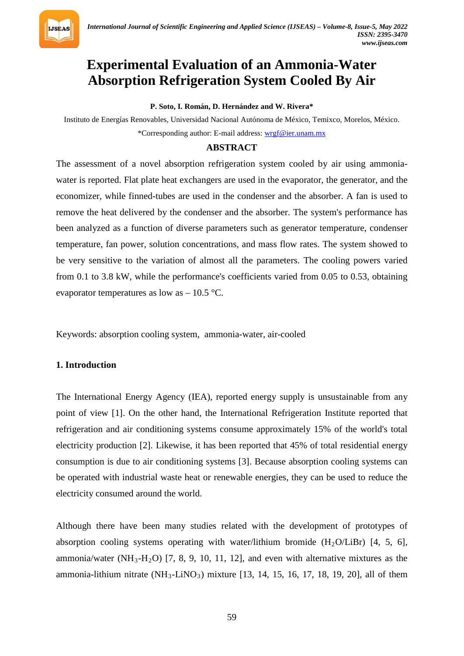

# **Experimental Evaluation of an Ammonia-Water Absorption Refrigeration System Cooled By Air**

**P. Soto, I. Román, D. Hernández and W. Rivera\***

Instituto de Energías Renovables, Universidad Nacional Autónoma de México, Temixco, Morelos, México. \*Corresponding author: E-mail address: *[wrgf@ier.unam.mx](mailto:wrgf@ier.unam.mx)* 

#### **ABSTRACT**

The assessment of a novel absorption refrigeration system cooled by air using ammoniawater is reported. Flat plate heat exchangers are used in the evaporator, the generator, and the economizer, while finned-tubes are used in the condenser and the absorber. A fan is used to remove the heat delivered by the condenser and the absorber. The system's performance has been analyzed as a function of diverse parameters such as generator temperature, condenser temperature, fan power, solution concentrations, and mass flow rates. The system showed to be very sensitive to the variation of almost all the parameters. The cooling powers varied from 0.1 to 3.8 kW, while the performance's coefficients varied from 0.05 to 0.53, obtaining evaporator temperatures as low as  $-10.5$  °C.

Keywords: absorption cooling system, ammonia-water, air-cooled

#### **1. Introduction**

The International Energy Agency (IEA), reported energy supply is unsustainable from any point of view [1]. On the other hand, the International Refrigeration Institute reported that refrigeration and air conditioning systems consume approximately 15% of the world's total electricity production [2]. Likewise, it has been reported that 45% of total residential energy consumption is due to air conditioning systems [3]. Because absorption cooling systems can be operated with industrial waste heat or renewable energies, they can be used to reduce the electricity consumed around the world.

Although there have been many studies related with the development of prototypes of absorption cooling systems operating with water/lithium bromide  $(H_2O/LiBr)$  [4, 5, 6], ammonia/water (NH<sub>3</sub>-H<sub>2</sub>O) [7, 8, 9, 10, 11, 12], and even with alternative mixtures as the ammonia-lithium nitrate (NH<sub>3</sub>-LiNO<sub>3</sub>) mixture [13, 14, 15, 16, 17, 18, 19, 20], all of them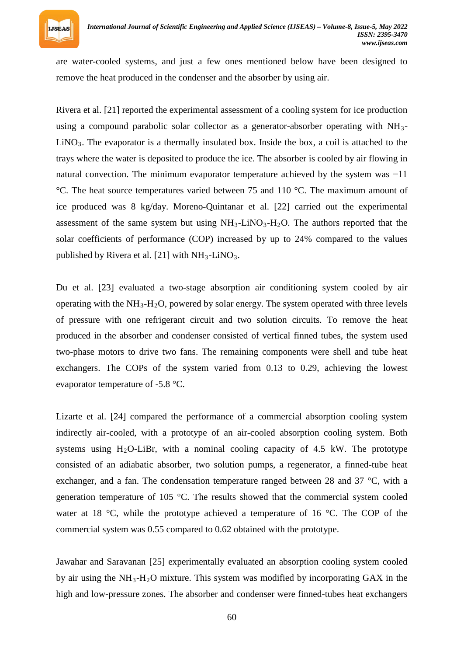

are water-cooled systems, and just a few ones mentioned below have been designed to remove the heat produced in the condenser and the absorber by using air.

Rivera et al. [21] reported the experimental assessment of a cooling system for ice production using a compound parabolic solar collector as a generator-absorber operating with NH<sub>3</sub>-LiNO<sub>3</sub>. The evaporator is a thermally insulated box. Inside the box, a coil is attached to the trays where the water is deposited to produce the ice. The absorber is cooled by air flowing in natural convection. The minimum evaporator temperature achieved by the system was −11 °C. The heat source temperatures varied between 75 and 110 °C. The maximum amount of ice produced was 8 kg/day. Moreno-Quintanar et al. [22] carried out the experimental assessment of the same system but using  $NH_3$ -LiNO<sub>3</sub>-H<sub>2</sub>O. The authors reported that the solar coefficients of performance (COP) increased by up to 24% compared to the values published by Rivera et al. [21] with NH<sub>3</sub>-LiNO<sub>3</sub>.

Du et al. [23] evaluated a two-stage absorption air conditioning system cooled by air operating with the NH<sub>3</sub>-H<sub>2</sub>O, powered by solar energy. The system operated with three levels of pressure with one refrigerant circuit and two solution circuits. To remove the heat produced in the absorber and condenser consisted of vertical finned tubes, the system used two-phase motors to drive two fans. The remaining components were shell and tube heat exchangers. The COPs of the system varied from 0.13 to 0.29, achieving the lowest evaporator temperature of -5.8 °C.

Lizarte et al. [24] compared the performance of a commercial absorption cooling system indirectly air-cooled, with a prototype of an air-cooled absorption cooling system. Both systems using  $H_2O$ -LiBr, with a nominal cooling capacity of 4.5 kW. The prototype consisted of an adiabatic absorber, two solution pumps, a regenerator, a finned-tube heat exchanger, and a fan. The condensation temperature ranged between 28 and 37 °C, with a generation temperature of 105 °C. The results showed that the commercial system cooled water at 18 °C, while the prototype achieved a temperature of 16 °C. The COP of the commercial system was 0.55 compared to 0.62 obtained with the prototype.

Jawahar and Saravanan [25] experimentally evaluated an absorption cooling system cooled by air using the NH<sub>3</sub>-H<sub>2</sub>O mixture. This system was modified by incorporating GAX in the high and low-pressure zones. The absorber and condenser were finned-tubes heat exchangers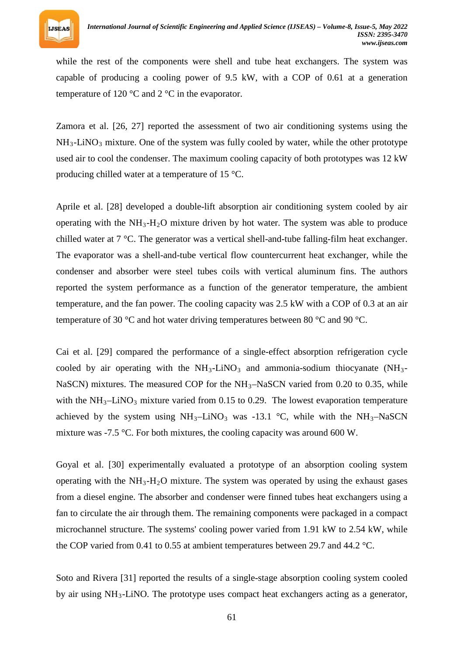

while the rest of the components were shell and tube heat exchangers. The system was capable of producing a cooling power of 9.5 kW, with a COP of 0.61 at a generation temperature of 120 °C and 2 °C in the evaporator.

Zamora et al. [26, 27] reported the assessment of two air conditioning systems using the NH<sub>3</sub>-LiNO<sub>3</sub> mixture. One of the system was fully cooled by water, while the other prototype used air to cool the condenser. The maximum cooling capacity of both prototypes was 12 kW producing chilled water at a temperature of 15 °C.

Aprile et al. [28] developed a double-lift absorption air conditioning system cooled by air operating with the NH<sub>3</sub>-H<sub>2</sub>O mixture driven by hot water. The system was able to produce chilled water at 7 °C. The generator was a vertical shell-and-tube falling-film heat exchanger. The evaporator was a shell-and-tube vertical flow countercurrent heat exchanger, while the condenser and absorber were steel tubes coils with vertical aluminum fins. The authors reported the system performance as a function of the generator temperature, the ambient temperature, and the fan power. The cooling capacity was 2.5 kW with a COP of 0.3 at an air temperature of 30 °C and hot water driving temperatures between 80 °C and 90 °C.

Cai et al. [29] compared the performance of a single-effect absorption refrigeration cycle cooled by air operating with the NH<sub>3</sub>-LiNO<sub>3</sub> and ammonia-sodium thiocyanate (NH<sub>3</sub>-NaSCN) mixtures. The measured COP for the NH<sub>3</sub>–NaSCN varied from 0.20 to 0.35, while with the  $NH<sub>3</sub>-LiNO<sub>3</sub>$  mixture varied from 0.15 to 0.29. The lowest evaporation temperature achieved by the system using  $NH_3$ -LiNO<sub>3</sub> was -13.1 °C, while with the NH<sub>3</sub>-NaSCN mixture was -7.5 °C. For both mixtures, the cooling capacity was around 600 W.

Goyal et al. [30] experimentally evaluated a prototype of an absorption cooling system operating with the NH<sub>3</sub>-H<sub>2</sub>O mixture. The system was operated by using the exhaust gases from a diesel engine. The absorber and condenser were finned tubes heat exchangers using a fan to circulate the air through them. The remaining components were packaged in a compact microchannel structure. The systems' cooling power varied from 1.91 kW to 2.54 kW, while the COP varied from 0.41 to 0.55 at ambient temperatures between 29.7 and 44.2 °C.

Soto and Rivera [31] reported the results of a single-stage absorption cooling system cooled by air using NH<sub>3</sub>-LiNO. The prototype uses compact heat exchangers acting as a generator,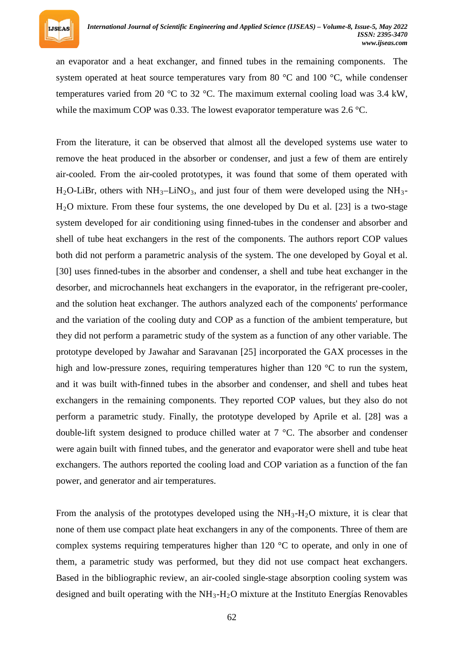

an evaporator and a heat exchanger, and finned tubes in the remaining components. The system operated at heat source temperatures vary from 80 °C and 100 °C, while condenser temperatures varied from 20 °C to 32 °C. The maximum external cooling load was 3.4 kW, while the maximum COP was 0.33. The lowest evaporator temperature was 2.6 °C.

From the literature, it can be observed that almost all the developed systems use water to remove the heat produced in the absorber or condenser, and just a few of them are entirely air-cooled. From the air-cooled prototypes, it was found that some of them operated with H<sub>2</sub>O-LiBr, others with NH<sub>3</sub>–LiNO<sub>3</sub>, and just four of them were developed using the NH<sub>3</sub>– H*R* <sup>2</sup>*R*O mixture. From these four systems, the one developed by Du et al. [23] is a two-stage system developed for air conditioning using finned-tubes in the condenser and absorber and shell of tube heat exchangers in the rest of the components. The authors report COP values both did not perform a parametric analysis of the system. The one developed by Goyal et al. [30] uses finned-tubes in the absorber and condenser, a shell and tube heat exchanger in the desorber, and microchannels heat exchangers in the evaporator, in the refrigerant pre-cooler, and the solution heat exchanger. The authors analyzed each of the components' performance and the variation of the cooling duty and COP as a function of the ambient temperature, but they did not perform a parametric study of the system as a function of any other variable. The prototype developed by Jawahar and Saravanan [25] incorporated the GAX processes in the high and low-pressure zones, requiring temperatures higher than 120 °C to run the system, and it was built with-finned tubes in the absorber and condenser, and shell and tubes heat exchangers in the remaining components. They reported COP values, but they also do not perform a parametric study. Finally, the prototype developed by Aprile et al. [28] was a double-lift system designed to produce chilled water at 7 °C. The absorber and condenser were again built with finned tubes, and the generator and evaporator were shell and tube heat exchangers. The authors reported the cooling load and COP variation as a function of the fan power, and generator and air temperatures.

From the analysis of the prototypes developed using the NH<sub>3</sub>-H<sub>2</sub>O mixture, it is clear that none of them use compact plate heat exchangers in any of the components. Three of them are complex systems requiring temperatures higher than  $120 \degree C$  to operate, and only in one of them, a parametric study was performed, but they did not use compact heat exchangers. Based in the bibliographic review, an air-cooled single-stage absorption cooling system was designed and built operating with the NH<sub>3</sub>-H<sub>2</sub>O mixture at the Instituto Energías Renovables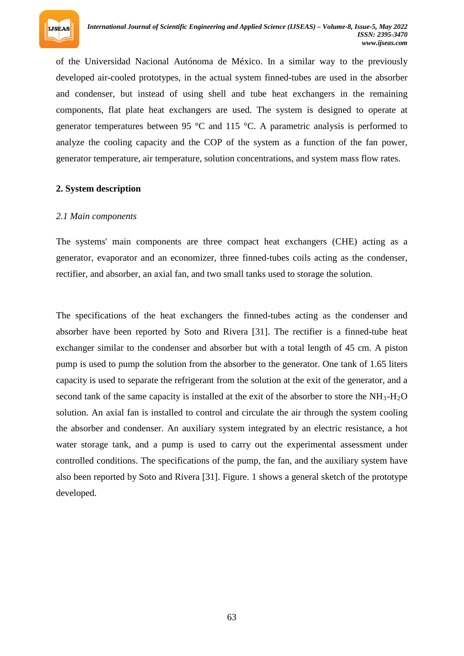

of the Universidad Nacional Autónoma de México. In a similar way to the previously developed air-cooled prototypes, in the actual system finned-tubes are used in the absorber and condenser, but instead of using shell and tube heat exchangers in the remaining components, flat plate heat exchangers are used. The system is designed to operate at generator temperatures between 95 °C and 115 °C. A parametric analysis is performed to analyze the cooling capacity and the COP of the system as a function of the fan power, generator temperature, air temperature, solution concentrations, and system mass flow rates.

## **2. System description**

## *2.1 Main components*

The systems' main components are three compact heat exchangers (CHE) acting as a generator, evaporator and an economizer, three finned-tubes coils acting as the condenser, rectifier, and absorber, an axial fan, and two small tanks used to storage the solution.

The specifications of the heat exchangers the finned-tubes acting as the condenser and absorber have been reported by Soto and Rivera [31]. The rectifier is a finned-tube heat exchanger similar to the condenser and absorber but with a total length of 45 cm. A piston pump is used to pump the solution from the absorber to the generator. One tank of 1.65 liters capacity is used to separate the refrigerant from the solution at the exit of the generator, and a second tank of the same capacity is installed at the exit of the absorber to store the NH<sub>3</sub>-H<sub>2</sub>O solution. An axial fan is installed to control and circulate the air through the system cooling the absorber and condenser. An auxiliary system integrated by an electric resistance, a hot water storage tank, and a pump is used to carry out the experimental assessment under controlled conditions. The specifications of the pump, the fan, and the auxiliary system have also been reported by Soto and Rivera [31]. Figure. 1 shows a general sketch of the prototype developed.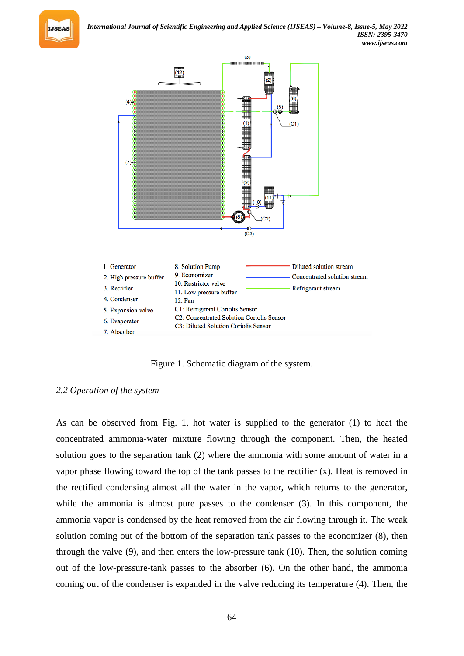



Figure 1. Schematic diagram of the system.

## *2.2 Operation of the system*

As can be observed from Fig. 1, hot water is supplied to the generator (1) to heat the concentrated ammonia-water mixture flowing through the component. Then, the heated solution goes to the separation tank (2) where the ammonia with some amount of water in a vapor phase flowing toward the top of the tank passes to the rectifier (x). Heat is removed in the rectified condensing almost all the water in the vapor, which returns to the generator, while the ammonia is almost pure passes to the condenser (3). In this component, the ammonia vapor is condensed by the heat removed from the air flowing through it. The weak solution coming out of the bottom of the separation tank passes to the economizer (8), then through the valve (9), and then enters the low-pressure tank (10). Then, the solution coming out of the low-pressure-tank passes to the absorber (6). On the other hand, the ammonia coming out of the condenser is expanded in the valve reducing its temperature (4). Then, the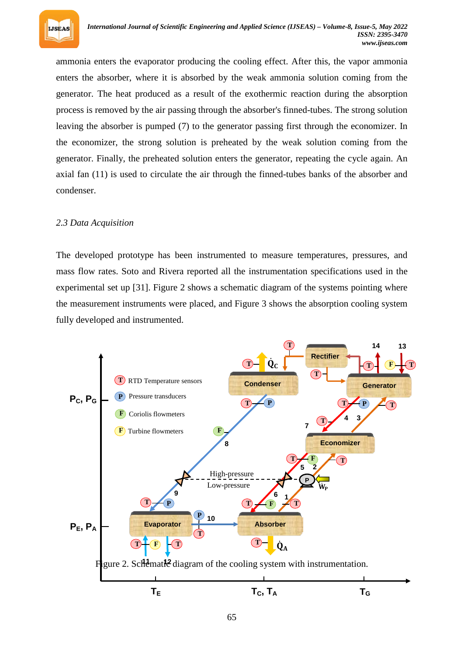

ammonia enters the evaporator producing the cooling effect. After this, the vapor ammonia enters the absorber, where it is absorbed by the weak ammonia solution coming from the generator. The heat produced as a result of the exothermic reaction during the absorption process is removed by the air passing through the absorber's finned-tubes. The strong solution leaving the absorber is pumped (7) to the generator passing first through the economizer. In the economizer, the strong solution is preheated by the weak solution coming from the generator. Finally, the preheated solution enters the generator, repeating the cycle again. An axial fan (11) is used to circulate the air through the finned-tubes banks of the absorber and condenser.

## *2.3 Data Acquisition*

The developed prototype has been instrumented to measure temperatures, pressures, and mass flow rates. Soto and Rivera reported all the instrumentation specifications used in the experimental set up [31]. Figure 2 shows a schematic diagram of the systems pointing where the measurement instruments were placed, and Figure 3 shows the absorption cooling system fully developed and instrumented.

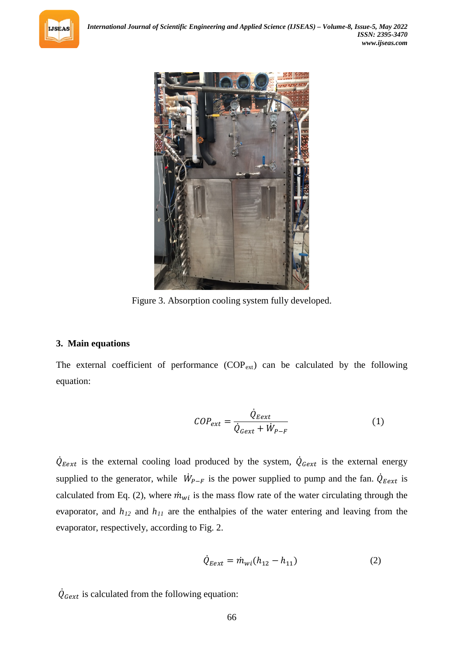



Figure 3. Absorption cooling system fully developed.

## **3. Main equations**

The external coefficient of performance  $(COP_{ext})$  can be calculated by the following equation:

$$
COP_{ext} = \frac{\dot{Q}_{Eext}}{\dot{Q}_{Gext} + \dot{W}_{P-F}}
$$
(1)

 $\dot{Q}_{Eext}$  is the external cooling load produced by the system,  $\dot{Q}_{Gext}$  is the external energy supplied to the generator, while  $W_{P-F}$  is the power supplied to pump and the fan.  $\dot{Q}_{Eext}$  is calculated from Eq. (2), where  $\dot{m}_{wi}$  is the mass flow rate of the water circulating through the evaporator, and  $h_{12}$  and  $h_{11}$  are the enthalpies of the water entering and leaving from the evaporator, respectively, according to Fig. 2.

$$
\dot{Q}_{Eext} = \dot{m}_{wi}(h_{12} - h_{11})
$$
\n(2)

 $\dot{Q}_{Gext}$  is calculated from the following equation: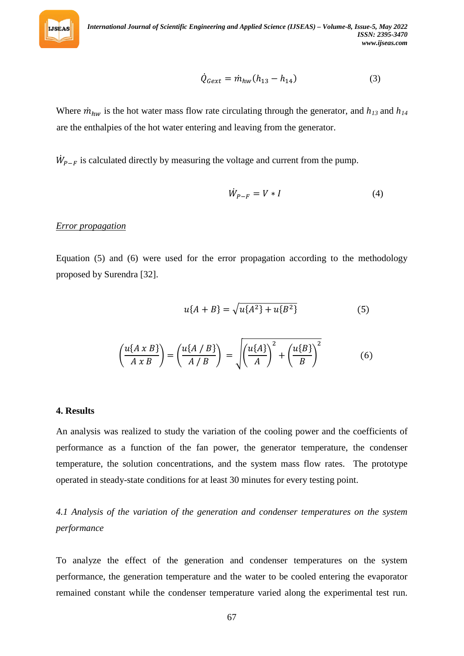

$$
\dot{Q}_{Gext} = \dot{m}_{hw} (h_{13} - h_{14}) \tag{3}
$$

Where  $\dot{m}_{hw}$  is the hot water mass flow rate circulating through the generator, and  $h_{13}$  and  $h_{14}$ are the enthalpies of the hot water entering and leaving from the generator.

 $W_{P-F}$  is calculated directly by measuring the voltage and current from the pump.

$$
\dot{W}_{P-F} = V \ast I \tag{4}
$$

#### *<sup>U</sup>Error propagation*

Equation (5) and (6) were used for the error propagation according to the methodology proposed by Surendra [32].

$$
u\{A+B\} = \sqrt{u\{A^2\} + u\{B^2\}}
$$
 (5)

$$
\left(\frac{u\{A\;x\;B\}}{A\;x\;B}\right) = \left(\frac{u\{A\;B\}}{A\;B}\right) = \sqrt{\left(\frac{u\{A\}}{A}\right)^2 + \left(\frac{u\{B\}}{B}\right)^2} \tag{6}
$$

#### **4. Results**

An analysis was realized to study the variation of the cooling power and the coefficients of performance as a function of the fan power, the generator temperature, the condenser temperature, the solution concentrations, and the system mass flow rates. The prototype operated in steady-state conditions for at least 30 minutes for every testing point.

*4.1 Analysis of the variation of the generation and condenser temperatures on the system performance*

To analyze the effect of the generation and condenser temperatures on the system performance, the generation temperature and the water to be cooled entering the evaporator remained constant while the condenser temperature varied along the experimental test run.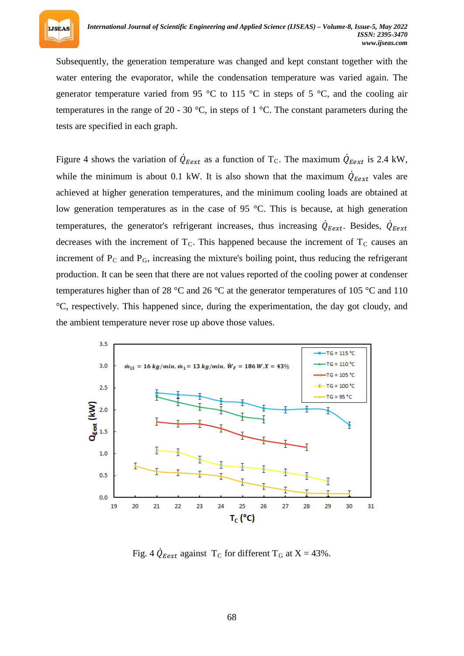

Subsequently, the generation temperature was changed and kept constant together with the water entering the evaporator, while the condensation temperature was varied again. The generator temperature varied from 95  $\degree$ C to 115  $\degree$ C in steps of 5  $\degree$ C, and the cooling air temperatures in the range of 20 - 30 °C, in steps of 1 °C. The constant parameters during the tests are specified in each graph.

Figure 4 shows the variation of  $Q_{Eext}$  as a function of T<sub>C</sub>. The maximum  $Q_{Eext}$  is 2.4 kW, while the minimum is about 0.1 kW. It is also shown that the maximum  $Q_{Eext}$  vales are achieved at higher generation temperatures, and the minimum cooling loads are obtained at low generation temperatures as in the case of 95 °C. This is because, at high generation temperatures, the generator's refrigerant increases, thus increasing  $\dot{Q}_{Eext}$ . Besides,  $\dot{Q}_{Eext}$ decreases with the increment of T<sub>C</sub>. This happened because the increment of T<sub>C</sub> causes an increment of P<sub>C</sub> and P<sub>G</sub>, increasing the mixture's boiling point, thus reducing the refrigerant production. It can be seen that there are not values reported of the cooling power at condenser temperatures higher than of 28 °C and 26 °C at the generator temperatures of 105 °C and 110 °C, respectively. This happened since, during the experimentation, the day got cloudy, and the ambient temperature never rose up above those values.



Fig. 4  $\dot{Q}_{\text{Eext}}$  against T<sub>C</sub> for different T<sub>G</sub> at X = 43%.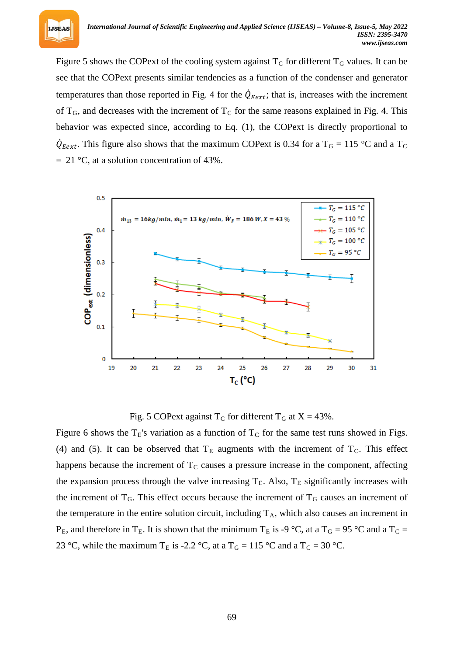Figure 5 shows the COPext of the cooling system against  $T_c$  for different  $T_c$  values. It can be see that the COPext presents similar tendencies as a function of the condenser and generator temperatures than those reported in Fig. 4 for the  $Q_{Eext}$ ; that is, increases with the increment of  $T_G$ , and decreases with the increment of  $T_C$  for the same reasons explained in Fig. 4. This behavior was expected since, according to Eq. (1), the COPext is directly proportional to  $Q_{Eext}$ . This figure also shows that the maximum COPext is 0.34 for a T<sub>G</sub> = 115 °C and a T<sub>C</sub>  $= 21 \degree C$ , at a solution concentration of 43%.



Fig. 5 COPext against  $T_C$  for different  $T_G$  at  $X = 43\%$ .

Figure 6 shows the  $T_E$ 's variation as a function of  $T_C$  for the same test runs showed in Figs. (4) and (5). It can be observed that  $T_E$  augments with the increment of  $T_C$ . This effect happens because the increment of T<sub>C</sub> causes a pressure increase in the component, affecting the expansion process through the valve increasing  $T_E$ . Also,  $T_E$  significantly increases with the increment of  $T_G$ . This effect occurs because the increment of  $T_G$  causes an increment of the temperature in the entire solution circuit, including  $T_A$ , which also causes an increment in  $P_E$ , and therefore in T<sub>E</sub>. It is shown that the minimum T<sub>E</sub> is -9 °C, at a T<sub>G</sub> = 95 °C and a T<sub>C</sub> = 23 °C, while the maximum T<sub>E</sub> is -2.2 °C, at a T<sub>G</sub> = 115 °C and a T<sub>C</sub> = 30 °C.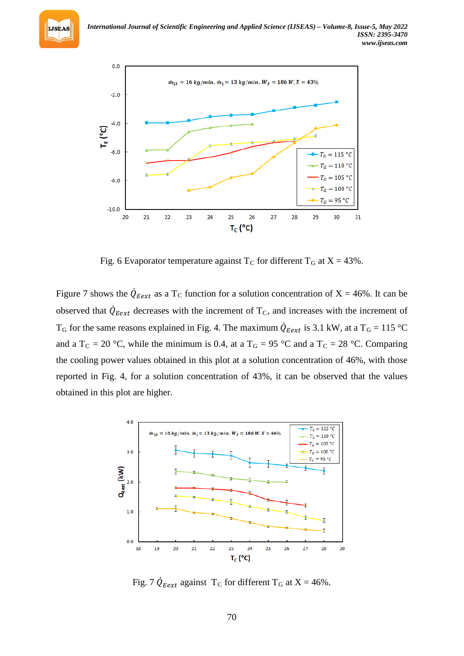



Fig. 6 Evaporator temperature against  $T_C$  for different  $T_G$  at  $X = 43\%$ .

Figure 7 shows the  $\dot{Q}_{Eext}$  as a T<sub>C</sub> function for a solution concentration of X = 46%. It can be observed that  $\dot{Q}_{Eext}$  decreases with the increment of  $T_c$ , and increases with the increment of  $T_G$  for the same reasons explained in Fig. 4. The maximum  $Q_{Eext}$  is 3.1 kW, at a  $T_G = 115 \text{ °C}$ and a T<sub>C</sub> = 20 °C, while the minimum is 0.4, at a T<sub>G</sub> = 95 °C and a T<sub>C</sub> = 28 °C. Comparing the cooling power values obtained in this plot at a solution concentration of 46%, with those reported in Fig. 4, for a solution concentration of 43%, it can be observed that the values obtained in this plot are higher.



Fig. 7  $\dot{Q}_{\text{Eext}}$  against T<sub>C</sub> for different T<sub>G</sub> at X = 46%.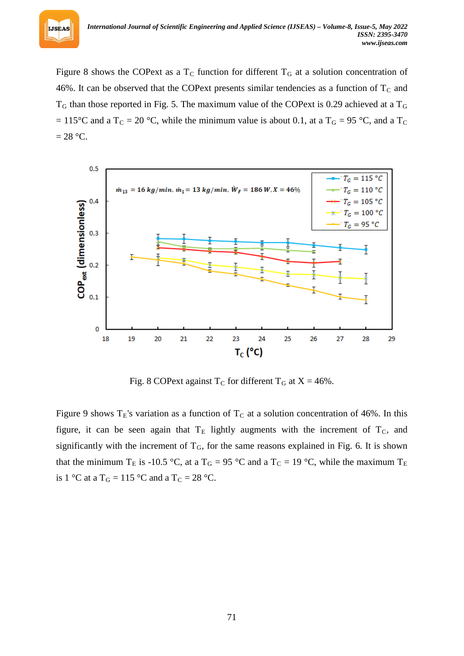Figure 8 shows the COPext as a  $T_c$  function for different  $T<sub>G</sub>$  at a solution concentration of 46%. It can be observed that the COP ext presents similar tendencies as a function of  $T_c$  and T*R* <sup>G</sup>*<sup>R</sup>* than those reported in Fig. 5. The maximum value of the COPext is 0.29 achieved at a T*<sup>R</sup>* G*R*  $T = 115^{\circ}$ C and a T<sub>C</sub> = 20 °C, while the minimum value is about 0.1, at a T<sub>G</sub> = 95 °C, and a T<sub>C</sub>  $= 28$  °C.

**IJSEAS** 



Fig. 8 COPext against  $T_C$  for different  $T_G$  at  $X = 46\%$ .

Figure 9 shows  $T_E$ 's variation as a function of  $T_C$  at a solution concentration of 46%. In this figure, it can be seen again that  $T_E$  lightly augments with the increment of  $T_C$ , and significantly with the increment of  $T_G$ , for the same reasons explained in Fig. 6. It is shown that the minimum T<sub>E</sub> is -10.5 °C, at a T<sub>G</sub> = 95 °C and a T<sub>C</sub> = 19 °C, while the maximum T<sub>E</sub> is 1 °C at a T<sub>G</sub> = 115 °C and a T<sub>C</sub> = 28 °C.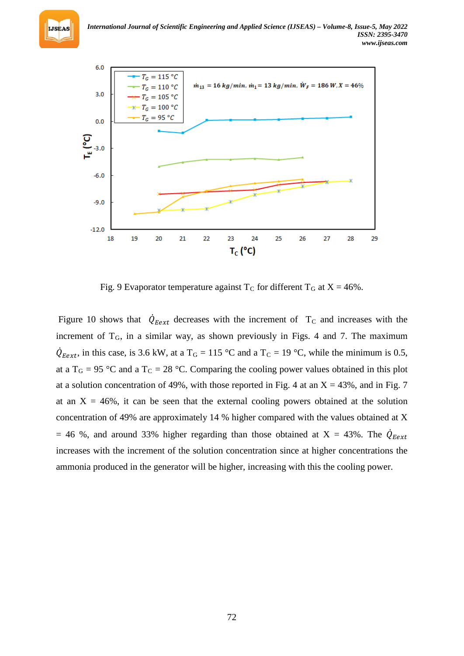

Fig. 9 Evaporator temperature against  $T_c$  for different  $T_G$  at  $X = 46\%$ .

Figure 10 shows that  $Q_{Eext}$  decreases with the increment of  $T_c$  and increases with the increment of  $T_G$ , in a similar way, as shown previously in Figs. 4 and 7. The maximum  $Q_{Eext}$ , in this case, is 3.6 kW, at a T<sub>G</sub> = 115 °C and a T<sub>C</sub> = 19 °C, while the minimum is 0.5, at a T<sub>G</sub> = 95 °C and a T<sub>C</sub> = 28 °C. Comparing the cooling power values obtained in this plot at a solution concentration of 49%, with those reported in Fig. 4 at an  $X = 43\%$ , and in Fig. 7 at an  $X = 46\%$ , it can be seen that the external cooling powers obtained at the solution concentration of 49% are approximately 14 % higher compared with the values obtained at X  $= 46$  %, and around 33% higher regarding than those obtained at  $X = 43$ %. The  $\dot{Q}_{Eext}$ increases with the increment of the solution concentration since at higher concentrations the ammonia produced in the generator will be higher, increasing with this the cooling power.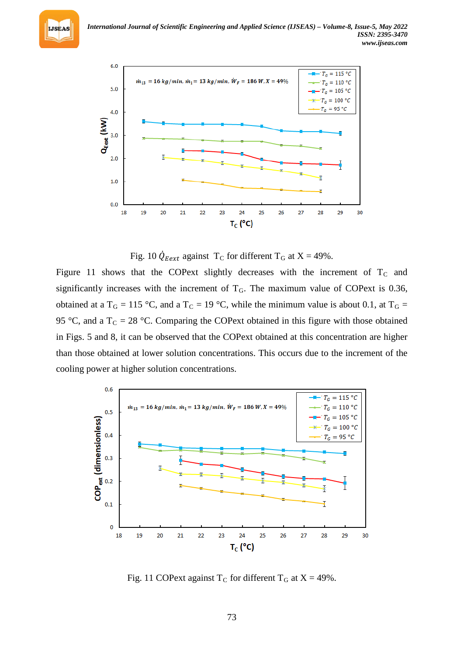

Fig. 10  $\dot{Q}_{Eext}$  against T<sub>C</sub> for different T<sub>G</sub> at X = 49%.

Figure 11 shows that the COPext slightly decreases with the increment of  $T_c$  and significantly increases with the increment of  $T<sub>G</sub>$ . The maximum value of COPext is 0.36, obtained at a T<sub>G</sub> = 115 °C, and a T<sub>C</sub> = 19 °C, while the minimum value is about 0.1, at T<sub>G</sub> = 95 °C, and a  $T_c = 28$  °C. Comparing the COPext obtained in this figure with those obtained in Figs. 5 and 8, it can be observed that the COPext obtained at this concentration are higher than those obtained at lower solution concentrations. This occurs due to the increment of the cooling power at higher solution concentrations.



Fig. 11 COPext against  $T_C$  for different  $T_G$  at  $X = 49\%$ .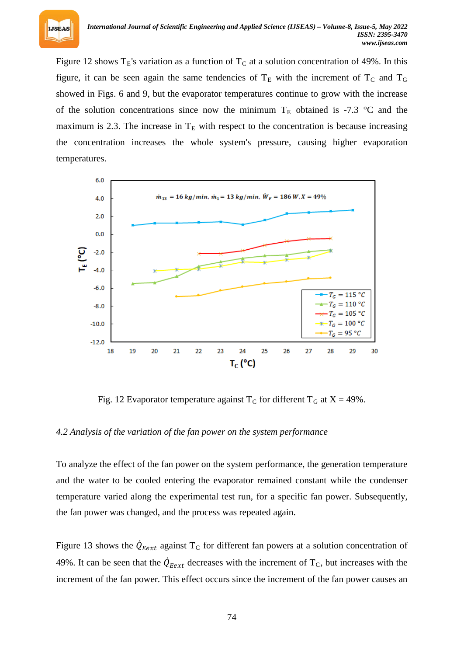

Figure 12 shows  $T_E$ 's variation as a function of  $T_C$  at a solution concentration of 49%. In this figure, it can be seen again the same tendencies of  $T_E$  with the increment of  $T_C$  and  $T_G$ showed in Figs. 6 and 9, but the evaporator temperatures continue to grow with the increase of the solution concentrations since now the minimum  $T_E$  obtained is -7.3 °C and the maximum is 2.3. The increase in  $T_E$  with respect to the concentration is because increasing the concentration increases the whole system's pressure, causing higher evaporation temperatures.



Fig. 12 Evaporator temperature against  $T_C$  for different  $T_G$  at  $X = 49\%$ .

#### *4.2 Analysis of the variation of the fan power on the system performance*

To analyze the effect of the fan power on the system performance, the generation temperature and the water to be cooled entering the evaporator remained constant while the condenser temperature varied along the experimental test run, for a specific fan power. Subsequently, the fan power was changed, and the process was repeated again.

Figure 13 shows the  $\dot{Q}_{Eext}$  against T<sub>C</sub> for different fan powers at a solution concentration of 49%. It can be seen that the  $Q_{\text{Eext}}$  decreases with the increment of  $T_c$ , but increases with the increment of the fan power. This effect occurs since the increment of the fan power causes an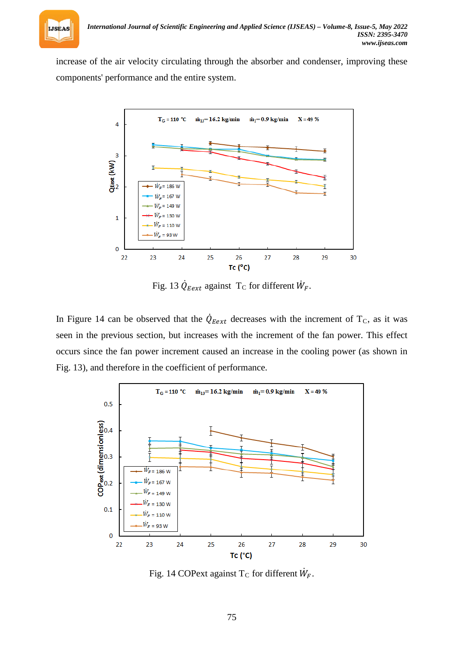

increase of the air velocity circulating through the absorber and condenser, improving these components' performance and the entire system.



Fig. 13  $Q_{Eext}$  against T<sub>C</sub> for different  $W_F$ .

In Figure 14 can be observed that the  $\dot{Q}_{\text{Eext}}$  decreases with the increment of T<sub>C</sub>, as it was seen in the previous section, but increases with the increment of the fan power. This effect occurs since the fan power increment caused an increase in the cooling power (as shown in Fig. 13), and therefore in the coefficient of performance.



Fig. 14 COPext against  $T_C$  for different  $W_F$ .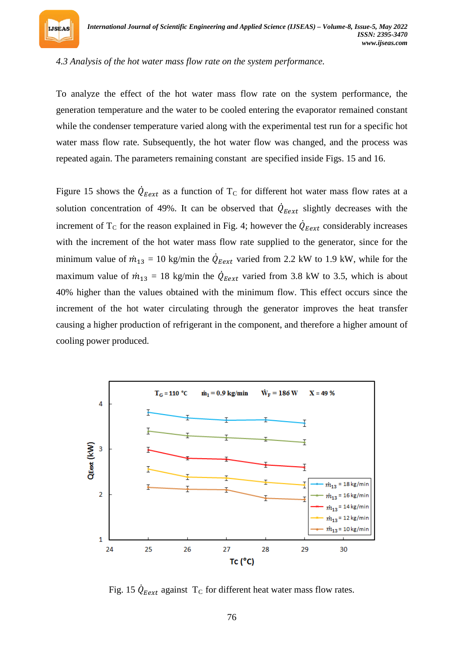

#### *4.3 Analysis of the hot water mass flow rate on the system performance.*

To analyze the effect of the hot water mass flow rate on the system performance, the generation temperature and the water to be cooled entering the evaporator remained constant while the condenser temperature varied along with the experimental test run for a specific hot water mass flow rate. Subsequently, the hot water flow was changed, and the process was repeated again. The parameters remaining constant are specified inside Figs. 15 and 16.

Figure 15 shows the  $\dot{Q}_{Eext}$  as a function of T<sub>C</sub> for different hot water mass flow rates at a solution concentration of 49%. It can be observed that  $Q_{Eext}$  slightly decreases with the increment of  $T_c$  for the reason explained in Fig. 4; however the  $\dot{Q}_{Eext}$  considerably increases with the increment of the hot water mass flow rate supplied to the generator, since for the minimum value of  $\dot{m}_{13} = 10$  kg/min the  $\dot{Q}_{Eext}$  varied from 2.2 kW to 1.9 kW, while for the maximum value of  $\dot{m}_{13} = 18$  kg/min the  $\dot{Q}_{Eext}$  varied from 3.8 kW to 3.5, which is about 40% higher than the values obtained with the minimum flow. This effect occurs since the increment of the hot water circulating through the generator improves the heat transfer causing a higher production of refrigerant in the component, and therefore a higher amount of cooling power produced.



Fig. 15  $\dot{Q}_{\text{Eext}}$  against T<sub>C</sub> for different heat water mass flow rates.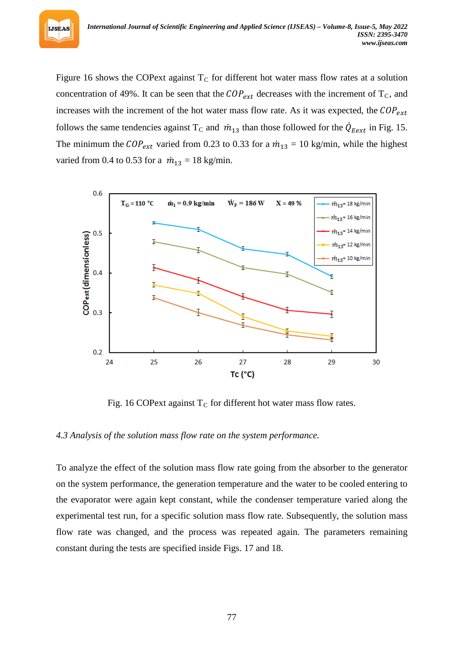Figure 16 shows the COPext against  $T_c$  for different hot water mass flow rates at a solution concentration of 49%. It can be seen that the  $COP_{ext}$  decreases with the increment of  $T_c$ , and increases with the increment of the hot water mass flow rate. As it was expected, the  $COP_{ext}$ follows the same tendencies against T<sub>C</sub> and  $\dot{m}_{13}$  than those followed for the  $Q_{Eext}$  in Fig. 15. The minimum the  $COP_{ext}$  varied from 0.23 to 0.33 for a  $\dot{m}_{13} = 10$  kg/min, while the highest varied from 0.4 to 0.53 for a  $\dot{m}_{13} = 18$  kg/min.



Fig. 16 COPext against T<sub>C</sub> for different hot water mass flow rates.

#### *4.3 Analysis of the solution mass flow rate on the system performance.*

To analyze the effect of the solution mass flow rate going from the absorber to the generator on the system performance, the generation temperature and the water to be cooled entering to the evaporator were again kept constant, while the condenser temperature varied along the experimental test run, for a specific solution mass flow rate. Subsequently, the solution mass flow rate was changed, and the process was repeated again. The parameters remaining constant during the tests are specified inside Figs. 17 and 18.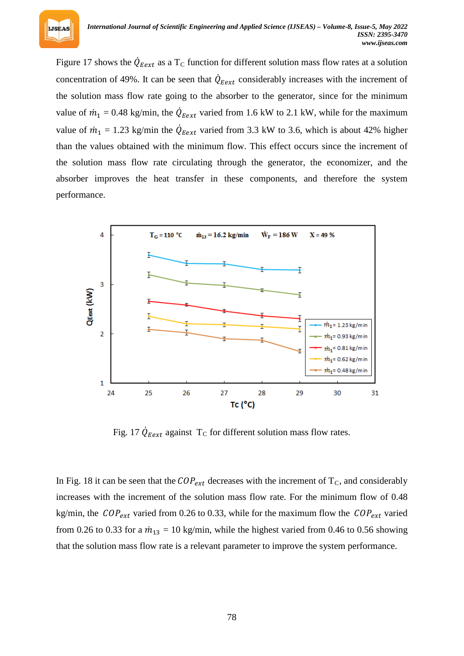Figure 17 shows the  $Q_{Eext}$  as a T<sub>C</sub> function for different solution mass flow rates at a solution concentration of 49%. It can be seen that  $Q_{Eext}$  considerably increases with the increment of the solution mass flow rate going to the absorber to the generator, since for the minimum value of  $\dot{m}_1 = 0.48$  kg/min, the  $\dot{Q}_{\text{Eext}}$  varied from 1.6 kW to 2.1 kW, while for the maximum value of  $\dot{m}_1 = 1.23$  kg/min the  $Q_{\text{Eext}}$  varied from 3.3 kW to 3.6, which is about 42% higher than the values obtained with the minimum flow. This effect occurs since the increment of the solution mass flow rate circulating through the generator, the economizer, and the absorber improves the heat transfer in these components, and therefore the system performance.



Fig. 17  $Q_{Eext}$  against T<sub>C</sub> for different solution mass flow rates.

In Fig. 18 it can be seen that the  $COP_{ext}$  decreases with the increment of  $T_c$ , and considerably increases with the increment of the solution mass flow rate. For the minimum flow of 0.48 kg/min, the  $COP_{ext}$  varied from 0.26 to 0.33, while for the maximum flow the  $COP_{ext}$  varied from 0.26 to 0.33 for a  $\dot{m}_{13} = 10$  kg/min, while the highest varied from 0.46 to 0.56 showing that the solution mass flow rate is a relevant parameter to improve the system performance.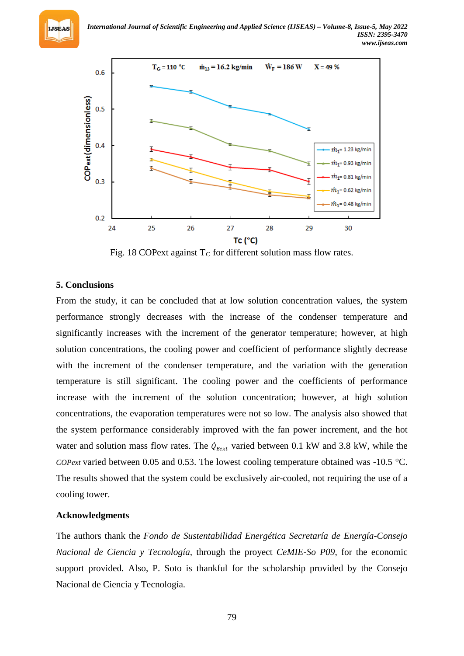



Fig. 18 COPext against  $T<sub>C</sub>$  for different solution mass flow rates.

## **5. Conclusions**

From the study, it can be concluded that at low solution concentration values, the system performance strongly decreases with the increase of the condenser temperature and significantly increases with the increment of the generator temperature; however, at high solution concentrations, the cooling power and coefficient of performance slightly decrease with the increment of the condenser temperature, and the variation with the generation temperature is still significant. The cooling power and the coefficients of performance increase with the increment of the solution concentration; however, at high solution concentrations, the evaporation temperatures were not so low. The analysis also showed that the system performance considerably improved with the fan power increment, and the hot water and solution mass flow rates. The  $\dot{Q}_{Eext}$  varied between 0.1 kW and 3.8 kW, while the *COPext* varied between 0.05 and 0.53. The lowest cooling temperature obtained was -10.5 °C. The results showed that the system could be exclusively air-cooled, not requiring the use of a cooling tower.

## **Acknowledgments**

The authors thank the *Fondo de Sustentabilidad Energética Secretaría de Energía-Consejo Nacional de Ciencia y Tecnología,* through the proyect *CeMIE-So P09*, for the economic support provided*.* Also, P. Soto is thankful for the scholarship provided by the Consejo Nacional de Ciencia y Tecnología.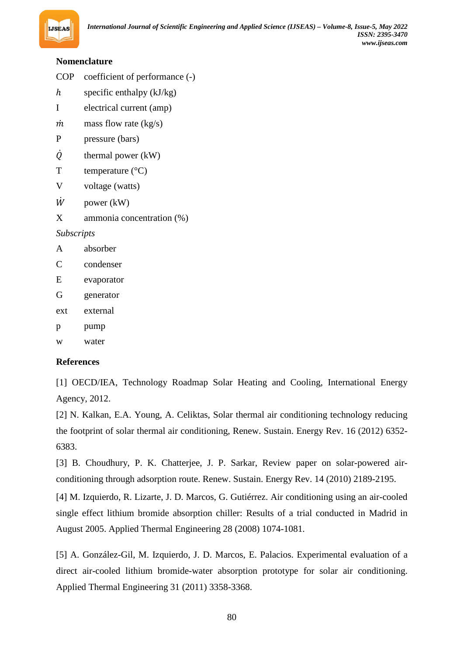## **Nomenclature**

- COP coefficient of performance (-)
- $h$  specific enthalpy (kJ/kg)
- I electrical current (amp)
- $\dot{m}$  mass flow rate (kg/s)
- P pressure (bars)
- $\dot{Q}$  thermal power (kW)
- $T$  temperature ( $^{\circ}C$ )
- V voltage (watts)
- $\dot{W}$  power (kW)
- X ammonia concentration (%)

## *Subscripts*

- A absorber
- C condenser
- E evaporator
- G generator
- ext external
- p pump
- w water

## **References**

[1] OECD/IEA, Technology Roadmap Solar Heating and Cooling, International Energy Agency, 2012.

[2] N. Kalkan, E.A. Young, A. Celiktas, Solar thermal air conditioning technology reducing the footprint of solar thermal air conditioning, Renew. Sustain. Energy Rev. 16 (2012) 6352- 6383.

[3] B. Choudhury, P. K. Chatterjee, J. P. Sarkar, Review paper on solar-powered airconditioning through adsorption route. Renew. Sustain. Energy Rev. 14 (2010) 2189-2195.

[4] M. Izquierdo, R. Lizarte, J. D. Marcos, G. Gutiérrez. Air conditioning using an air-cooled single effect lithium bromide absorption chiller: Results of a trial conducted in Madrid in August 2005. Applied Thermal Engineering 28 (2008) 1074-1081.

[5] A. González-Gil, M. Izquierdo, J. D. Marcos, E. Palacios. Experimental evaluation of a direct air-cooled lithium bromide-water absorption prototype for solar air conditioning. Applied Thermal Engineering 31 (2011) 3358-3368.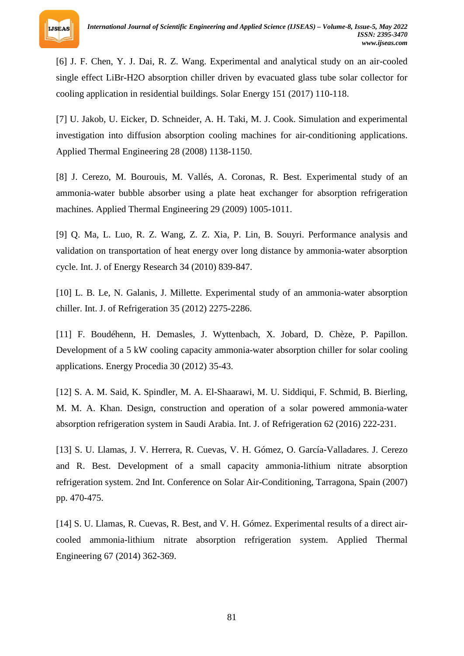

[6] J. F. Chen, Y. J. Dai, R. Z. Wang. Experimental and analytical study on an air-cooled single effect LiBr-H2O absorption chiller driven by evacuated glass tube solar collector for cooling application in residential buildings. Solar Energy 151 (2017) 110-118.

[7] U. Jakob, U. Eicker, D. Schneider, A. H. Taki, M. J. Cook. Simulation and experimental investigation into diffusion absorption cooling machines for air-conditioning applications. Applied Thermal Engineering 28 (2008) 1138-1150.

[8] J. Cerezo, M. Bourouis, M. Vallés, A. Coronas, R. Best. Experimental study of an ammonia-water bubble absorber using a plate heat exchanger for absorption refrigeration machines. Applied Thermal Engineering 29 (2009) 1005-1011.

[9] Q. Ma, L. Luo, R. Z. Wang, Z. Z. Xia, P. Lin, B. Souyri. Performance analysis and validation on transportation of heat energy over long distance by ammonia-water absorption cycle. Int. J. of Energy Research 34 (2010) 839-847.

[10] L. B. Le, N. Galanis, J. Millette. Experimental study of an ammonia-water absorption chiller. Int. J. of Refrigeration 35 (2012) 2275-2286.

[11] F. Boudéhenn, H. Demasles, J. Wyttenbach, X. Jobard, D. Chèze, P. Papillon. Development of a 5 kW cooling capacity ammonia-water absorption chiller for solar cooling applications. Energy Procedia 30 (2012) 35-43.

[12] S. A. M. Said, K. Spindler, M. A. El-Shaarawi, M. U. Siddiqui, F. Schmid, B. Bierling, M. M. A. Khan. Design, construction and operation of a solar powered ammonia-water absorption refrigeration system in Saudi Arabia. Int. J. of Refrigeration 62 (2016) 222-231.

[13] S. U. Llamas, J. V. Herrera, R. Cuevas, V. H. Gómez, O. García-Valladares. J. Cerezo and R. Best. Development of a small capacity ammonia-lithium nitrate absorption refrigeration system. 2nd Int. Conference on Solar Air-Conditioning, Tarragona, Spain (2007) pp. 470-475.

[14] S. U. Llamas, R. Cuevas, R. Best, and V. H. Gómez. Experimental results of a direct aircooled ammonia-lithium nitrate absorption refrigeration system. Applied Thermal Engineering 67 (2014) 362-369.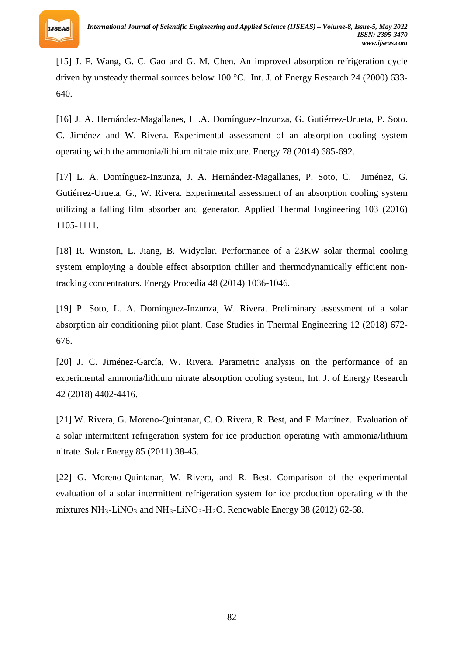

[15] J. F. Wang, G. C. Gao and G. M. Chen. An improved absorption refrigeration cycle driven by unsteady thermal sources below 100 °C. Int. J. of Energy Research 24 (2000) 633- 640.

[16] J. A. Hernández-Magallanes, L .A. Domínguez-Inzunza, G. Gutiérrez-Urueta, P. Soto. C. Jiménez and W. Rivera. Experimental assessment of an absorption cooling system operating with the ammonia/lithium nitrate mixture. Energy 78 (2014) 685-692.

[17] L. A. Domínguez-Inzunza, J. A. Hernández-Magallanes, P. Soto, C. Jiménez, G. Gutiérrez-Urueta, G., W. Rivera. Experimental assessment of an absorption cooling system utilizing a falling film absorber and generator. Applied Thermal Engineering 103 (2016) 1105-1111.

[18] R. Winston, L. Jiang, B. Widyolar. Performance of a 23KW solar thermal cooling system employing a double effect absorption chiller and thermodynamically efficient nontracking concentrators. Energy Procedia 48 (2014) 1036-1046.

[19] P. Soto, L. A. Domínguez-Inzunza, W. Rivera. Preliminary assessment of a solar absorption air conditioning pilot plant. Case Studies in Thermal Engineering 12 (2018) 672- 676.

[20] J. C. Jiménez-García, W. Rivera. Parametric analysis on the performance of an experimental ammonia/lithium nitrate absorption cooling system, Int. J. of Energy Research 42 (2018) 4402-4416.

[21] W. Rivera, G. Moreno-Quintanar, C. O. Rivera, R. Best, and F. Martínez. Evaluation of a solar intermittent refrigeration system for ice production operating with ammonia/lithium nitrate. Solar Energy 85 (2011) 38-45.

[22] G. Moreno-Quintanar, W. Rivera, and R. Best. Comparison of the experimental evaluation of a solar intermittent refrigeration system for ice production operating with the mixtures NH<sub>3</sub>-LiNO<sub>3</sub> and NH<sub>3</sub>-LiNO<sub>3</sub>-H<sub>2</sub>O. Renewable Energy 38 (2012) 62-68.